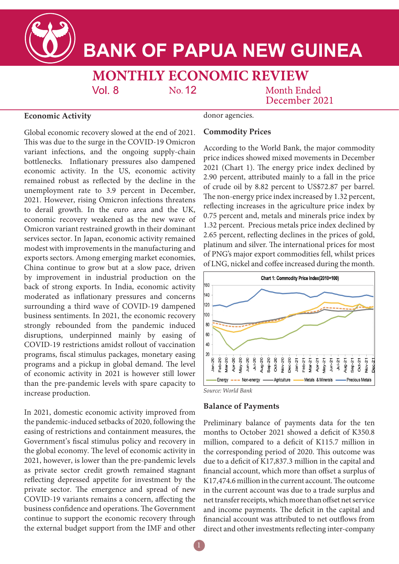# **BANK OF PAPUA NEW GUINEA**

# **MONTHLY ECONOMIC REVIEW**

No. 12

## Month Ended December 2021

#### **Economic Activity**

donor agencies.

Global economic recovery slowed at the end of 2021. This was due to the surge in the COVID-19 Omicron variant infections, and the ongoing supply-chain bottlenecks. Inflationary pressures also dampened economic activity. In the US, economic activity remained robust as reflected by the decline in the unemployment rate to 3.9 percent in December, 2021. However, rising Omicron infections threatens to derail growth. In the euro area and the UK, economic recovery weakened as the new wave of Omicron variant restrained growth in their dominant services sector. In Japan, economic activity remained modest with improvements in the manufacturing and exports sectors. Among emerging market economies, China continue to grow but at a slow pace, driven by improvement in industrial production on the back of strong exports. In India, economic activity moderated as inflationary pressures and concerns surrounding a third wave of COVID-19 dampened business sentiments. In 2021, the economic recovery strongly rebounded from the pandemic induced disruptions, underpinned mainly by easing of COVID-19 restrictions amidst rollout of vaccination programs, fiscal stimulus packages, monetary easing programs and a pickup in global demand. The level of economic activity in 2021 is however still lower than the pre-pandemic levels with spare capacity to increase production.

 $Vol_8$ 

In 2021, domestic economic activity improved from the pandemic-induced setbacks of 2020, following the easing of restrictions and containment measures, the Government's fiscal stimulus policy and recovery in the global economy. The level of economic activity in 2021, however, is lower than the pre-pandemic levels as private sector credit growth remained stagnant reflecting depressed appetite for investment by the private sector. The emergence and spread of new COVID-19 variants remains a concern, affecting the business confidence and operations. The Government continue to support the economic recovery through the external budget support from the IMF and other

### **Commodity Prices**

According to the World Bank, the major commodity price indices showed mixed movements in December 2021 (Chart 1). The energy price index declined by 2.90 percent, attributed mainly to a fall in the price of crude oil by 8.82 percent to US\$72.87 per barrel. The non-energy price index increased by 1.32 percent, reflecting increases in the agriculture price index by 0.75 percent and, metals and minerals price index by 1.32 percent. Precious metals price index declined by 2.65 percent, reflecting declines in the prices of gold, platinum and silver. The international prices for most of PNG's major export commodities fell, whilst prices of LNG, nickel and coffee increased during the month.



*Source: World Bank*

#### **Balance of Payments**

Preliminary balance of payments data for the ten months to October 2021 showed a deficit of K350.8 million, compared to a deficit of K115.7 million in the corresponding period of 2020. This outcome was due to a deficit of K17,837.3 million in the capital and financial account, which more than offset a surplus of K17,474.6 million in the current account. The outcome in the current account was due to a trade surplus and net transfer receipts, which more than offset net service and income payments. The deficit in the capital and financial account was attributed to net outflows from direct and other investments reflecting inter-company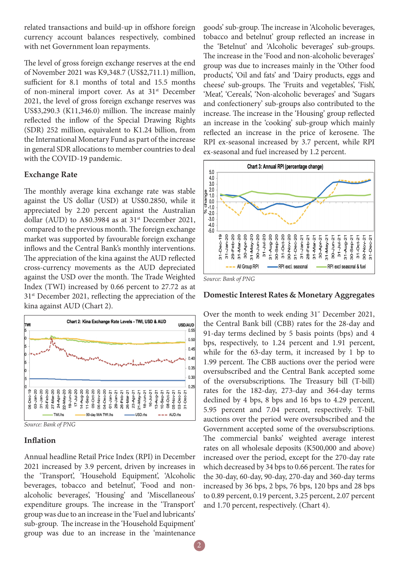related transactions and build-up in offshore foreign currency account balances respectively, combined with net Government loan repayments.

The level of gross foreign exchange reserves at the end of November 2021 was K9,348.7 (US\$2,711.1) million, sufficient for 8.1 months of total and 15.5 months of non-mineral import cover. As at 31<sup>st</sup> December 2021, the level of gross foreign exchange reserves was US\$3,290.3 (K11,346.0) million. The increase mainly reflected the inflow of the Special Drawing Rights (SDR) 252 million, equivalent to K1.24 billion, from the International Monetary Fund as part of the increase in general SDR allocations to member countries to deal with the COVID-19 pandemic.

#### **Exchange Rate**

The monthly average kina exchange rate was stable against the US dollar (USD) at US\$0.2850, while it appreciated by 2.20 percent against the Australian dollar (AUD) to A\$0.3984 as at  $31<sup>st</sup>$  December 2021, compared to the previous month. The foreign exchange market was supported by favourable foreign exchange inflows and the Central Bank's monthly interventions. The appreciation of the kina against the AUD reflected cross-currency movements as the AUD depreciated against the USD over the month. The Trade Weighted Index (TWI) increased by 0.66 percent to 27.72 as at 31st December 2021, reflecting the appreciation of the kina against AUD (Chart 2).



*Source: Bank of PNG*

#### **Inflation**

Annual headline Retail Price Index (RPI) in December 2021 increased by 3.9 percent, driven by increases in the 'Transport', 'Household Equipment', 'Alcoholic beverages, tobacco and betelnut', 'Food and nonalcoholic beverages', 'Housing' and 'Miscellaneous' expenditure groups. The increase in the 'Transport' group was due to an increase in the 'Fuel and lubricants' sub-group. The increase in the 'Household Equipment' group was due to an increase in the 'maintenance

goods' sub-group. The increase in 'Alcoholic beverages, tobacco and betelnut' group reflected an increase in the 'Betelnut' and 'Alcoholic beverages' sub-groups. The increase in the 'Food and non-alcoholic beverages' group was due to increases mainly in the 'Other food products', 'Oil and fats' and 'Dairy products, eggs and cheese' sub-groups. The 'Fruits and vegetables', 'Fish', 'Meat', 'Cereals', 'Non-alcoholic beverages' and 'Sugars and confectionery' sub-groups also contributed to the increase. The increase in the 'Housing' group reflected an increase in the 'cooking' sub-group which mainly reflected an increase in the price of kerosene. The RPI ex-seasonal increased by 3.7 percent, while RPI ex-seasonal and fuel increased by 1.2 percent.



#### **Domestic Interest Rates & Monetary Aggregates**

Over the month to week ending  $31^{\circ}$  December 2021, the Central Bank bill (CBB) rates for the 28-day and 91-day terms declined by 5 basis points (bps) and 4 bps, respectively, to 1.24 percent and 1.91 percent, while for the 63-day term, it increased by 1 bp to 1.99 percent. The CBB auctions over the period were oversubscribed and the Central Bank accepted some of the oversubscriptions. The Treasury bill (T-bill) rates for the 182-day, 273-day and 364-day terms declined by 4 bps, 8 bps and 16 bps to 4.29 percent, 5.95 percent and 7.04 percent, respectively. T-bill auctions over the period were oversubscribed and the Government accepted some of the oversubscriptions. The commercial banks' weighted average interest rates on all wholesale deposits (K500,000 and above) increased over the period, except for the 270-day rate which decreased by 34 bps to 0.66 percent. The rates for the 30-day, 60-day, 90-day, 270-day and 360-day terms increased by 36 bps, 2 bps, 76 bps, 120 bps and 28 bps to 0.89 percent, 0.19 percent, 3.25 percent, 2.07 percent and 1.70 percent, respectively. (Chart 4).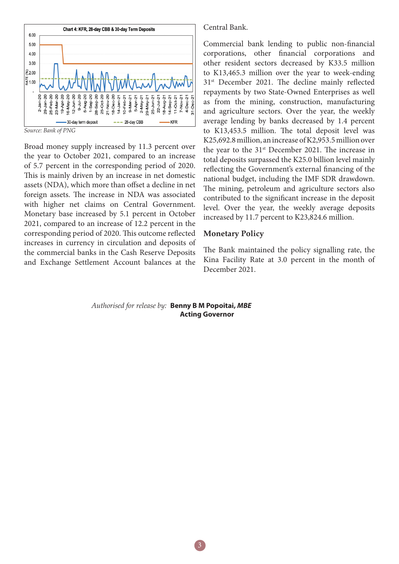

*Source: Bank of PNG*

Broad money supply increased by 11.3 percent over the year to October 2021, compared to an increase of 5.7 percent in the corresponding period of 2020. This is mainly driven by an increase in net domestic assets (NDA), which more than offset a decline in net foreign assets. The increase in NDA was associated with higher net claims on Central Government. Monetary base increased by 5.1 percent in October 2021, compared to an increase of 12.2 percent in the corresponding period of 2020. This outcome reflected increases in currency in circulation and deposits of the commercial banks in the Cash Reserve Deposits and Exchange Settlement Account balances at the Central Bank.

Commercial bank lending to public non-financial corporations, other financial corporations and other resident sectors decreased by K33.5 million to K13,465.3 million over the year to week-ending 31<sup>st</sup> December 2021. The decline mainly reflected repayments by two State-Owned Enterprises as well as from the mining, construction, manufacturing and agriculture sectors. Over the year, the weekly average lending by banks decreased by 1.4 percent to K13,453.5 million. The total deposit level was K25,692.8 million, an increase of K2,953.5 million over the year to the 31<sup>st</sup> December 2021. The increase in total deposits surpassed the K25.0 billion level mainly reflecting the Government's external financing of the national budget, including the IMF SDR drawdown. The mining, petroleum and agriculture sectors also contributed to the significant increase in the deposit level. Over the year, the weekly average deposits increased by 11.7 percent to K23,824.6 million.

#### **Monetary Policy**

The Bank maintained the policy signalling rate, the Kina Facility Rate at 3.0 percent in the month of December 2021.

#### *Authorised for release by:* **Benny B M Popoitai,** *MBE*  **Acting Governor**